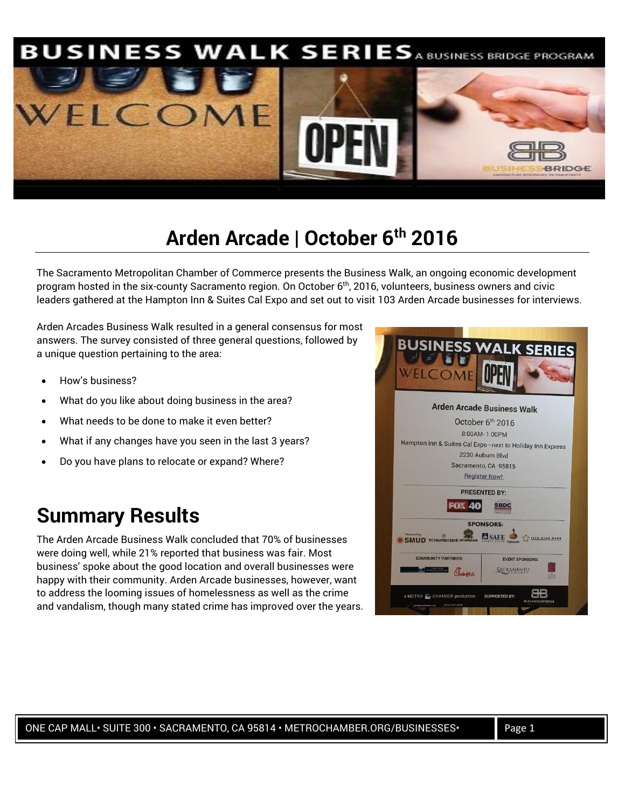

#### **Arden Arcade | October 6th 2016**

The Sacramento Metropolitan Chamber of Commerce presents the Business Walk, an ongoing economic development program hosted in the six-county Sacramento region. On October 6<sup>th</sup>, 2016, volunteers, business owners and civic leaders gathered at the Hampton Inn & Suites Cal Expo and set out to visit 103 Arden Arcade businesses for interviews.

Arden Arcades Business Walk resulted in a general consensus for most answers. The survey consisted of three general questions, followed by a unique question pertaining to the area:

- How's business?
- What do you like about doing business in the area?
- What needs to be done to make it even better?
- What if any changes have you seen in the last 3 years?
- Do you have plans to relocate or expand? Where?

#### **Summary Results**

The Arden Arcade Business Walk concluded that 70% of businesses were doing well, while 21% reported that business was fair. Most business' spoke about the good location and overall businesses were happy with their community. Arden Arcade businesses, however, want to address the looming issues of homelessness as well as the crime and vandalism, though many stated crime has improved over the years.

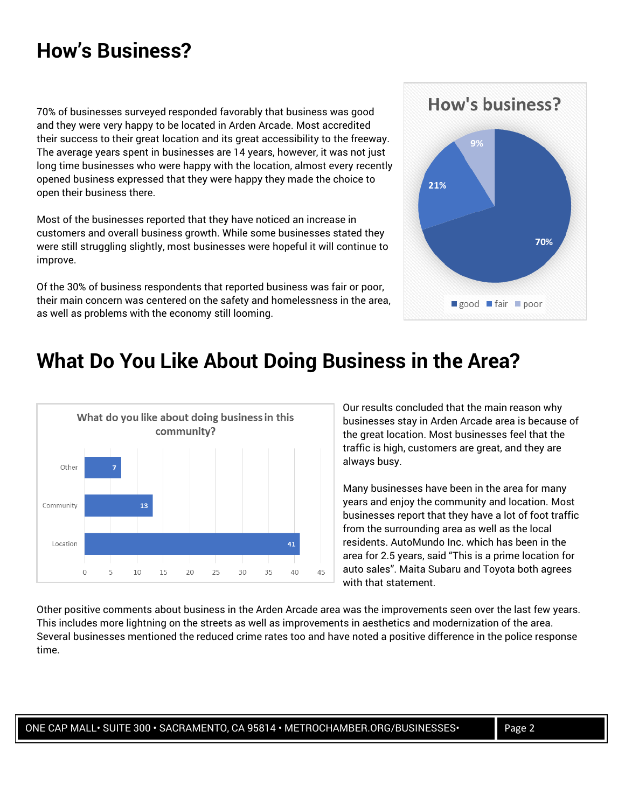### **How's Business?**

70% of businesses surveyed responded favorably that business was good and they were very happy to be located in Arden Arcade. Most accredited their success to their great location and its great accessibility to the freeway. The average years spent in businesses are 14 years, however, it was not just long time businesses who were happy with the location, almost every recently opened business expressed that they were happy they made the choice to open their business there.

Most of the businesses reported that they have noticed an increase in customers and overall business growth. While some businesses stated they were still struggling slightly, most businesses were hopeful it will continue to improve.

Of the 30% of business respondents that reported business was fair or poor, their main concern was centered on the safety and homelessness in the area, as well as problems with the economy still looming.



## **What Do You Like About Doing Business in the Area?**



Our results concluded that the main reason why businesses stay in Arden Arcade area is because of the great location. Most businesses feel that the traffic is high, customers are great, and they are always busy.

Many businesses have been in the area for many years and enjoy the community and location. Most businesses report that they have a lot of foot traffic from the surrounding area as well as the local residents. AutoMundo Inc. which has been in the area for 2.5 years, said "This is a prime location for auto sales". Maita Subaru and Toyota both agrees with that statement.

Other positive comments about business in the Arden Arcade area was the improvements seen over the last few years. This includes more lightning on the streets as well as improvements in aesthetics and modernization of the area. Several businesses mentioned the reduced crime rates too and have noted a positive difference in the police response time.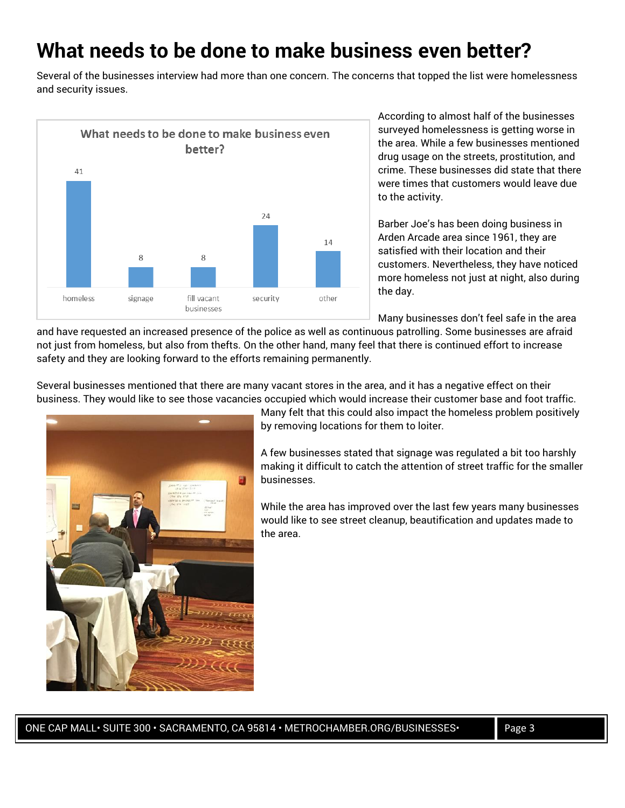## **What needs to be done to make business even better?**

Several of the businesses interview had more than one concern. The concerns that topped the list were homelessness and security issues.



According to almost half of the businesses surveyed homelessness is getting worse in the area. While a few businesses mentioned drug usage on the streets, prostitution, and crime. These businesses did state that there were times that customers would leave due to the activity.

Barber Joe's has been doing business in Arden Arcade area since 1961, they are satisfied with their location and their customers. Nevertheless, they have noticed more homeless not just at night, also during the day.

Many businesses don't feel safe in the area

and have requested an increased presence of the police as well as continuous patrolling. Some businesses are afraid not just from homeless, but also from thefts. On the other hand, many feel that there is continued effort to increase safety and they are looking forward to the efforts remaining permanently.

Several businesses mentioned that there are many vacant stores in the area, and it has a negative effect on their business. They would like to see those vacancies occupied which would increase their customer base and foot traffic.



Many felt that this could also impact the homeless problem positively by removing locations for them to loiter.

A few businesses stated that signage was regulated a bit too harshly making it difficult to catch the attention of street traffic for the smaller businesses.

While the area has improved over the last few years many businesses would like to see street cleanup, beautification and updates made to the area.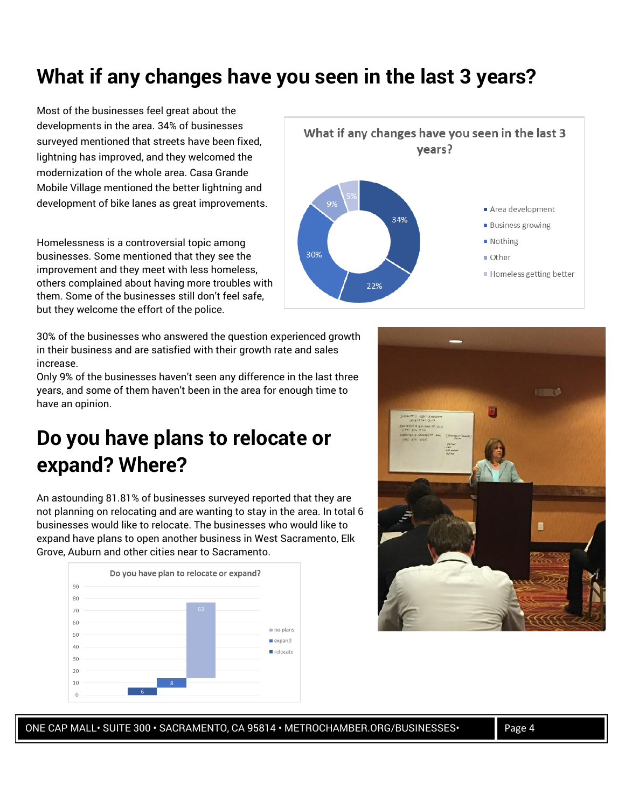# **What if any changes have you seen in the last 3 years?**

Most of the businesses feel great about the developments in the area. 34% of businesses surveyed mentioned that streets have been fixed, lightning has improved, and they welcomed the modernization of the whole area. Casa Grande Mobile Village mentioned the better lightning and development of bike lanes as great improvements.

Homelessness is a controversial topic among businesses. Some mentioned that they see the improvement and they meet with less homeless, others complained about having more troubles with them. Some of the businesses still don't feel safe, but they welcome the effort of the police.

30% of the businesses who answered the question experienced growth in their business and are satisfied with their growth rate and sales increase.

Only 9% of the businesses haven't seen any difference in the last three years, and some of them haven't been in the area for enough time to have an opinion.

# **Do you have plans to relocate or expand? Where?**

An astounding 81.81% of businesses surveyed reported that they are not planning on relocating and are wanting to stay in the area. In total 6 businesses would like to relocate. The businesses who would like to expand have plans to open another business in West Sacramento, Elk Grove, Auburn and other cities near to Sacramento.







ONE CAP MALL · SUITE 300 · SACRAMENTO, CA 95814 · METROCHAMBER.ORG/BUSINESSES · Page 4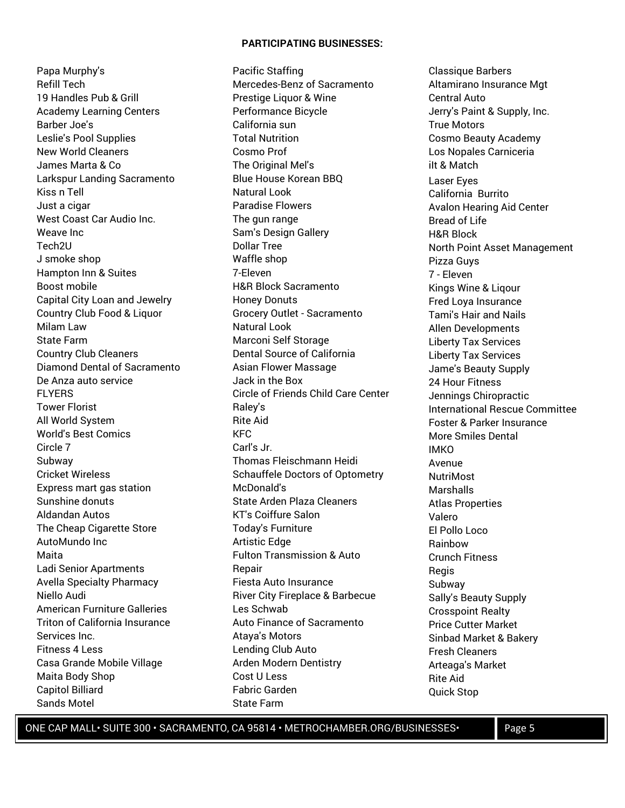#### **PARTICIPATING BUSINESSES:**

Papa Murphy's Refill Tech 19 Handles Pub & Grill Academy Learning Centers Barber Joe's Leslie's Pool Supplies New World Cleaners James Marta & Co Larkspur Landing Sacramento Kiss n Tell Just a cigar West Coast Car Audio Inc. Weave Inc Tech2U J smoke shop Hampton Inn & Suites Boost mobile Capital City Loan and Jewelry Country Club Food & Liquor Milam Law State Farm Country Club Cleaners Diamond Dental of Sacramento De Anza auto service FLYERS Tower Florist All World System World's Best Comics Circle 7 Subway Cricket Wireless Express mart gas station Sunshine donuts Aldandan Autos The Cheap Cigarette Store AutoMundo Inc Maita Ladi Senior Apartments Avella Specialty Pharmacy Niello Audi American Furniture Galleries Triton of California Insurance Services Inc. Fitness 4 Less Casa Grande Mobile Village Maita Body Shop Capitol Billiard Sands Motel

Pacific Staffing Mercedes-Benz of Sacramento Prestige Liquor & Wine Performance Bicycle California sun Total Nutrition Cosmo Prof The Original Mel's Blue House Korean BBQ Natural Look Paradise Flowers The gun range Sam's Design Gallery Dollar Tree Waffle shop 7-Eleven H&R Block Sacramento Honey Donuts Grocery Outlet - Sacramento Natural Look Marconi Self Storage Dental Source of California Asian Flower Massage Jack in the Box Circle of Friends Child Care Center Raley's Rite Aid KFC Carl's Jr. Thomas Fleischmann Heidi Schauffele Doctors of Optometry McDonald's State Arden Plaza Cleaners KT's Coiffure Salon Today's Furniture Artistic Edge Fulton Transmission & Auto Repair Fiesta Auto Insurance River City Fireplace & Barbecue Les Schwab Auto Finance of Sacramento Ataya's Motors Lending Club Auto Arden Modern Dentistry Cost U Less Fabric Garden State Farm

Classique Barbers Altamirano Insurance Mgt Central Auto Jerry's Paint & Supply, Inc. True Motors Cosmo Beauty Academy Los Nopales Carniceria ilt & Match Laser Eyes California Burrito Avalon Hearing Aid Center Bread of Life H&R Block North Point Asset Management Pizza Guys 7 - Eleven Kings Wine & Liqour Fred Loya Insurance Tami's Hair and Nails Allen Developments Liberty Tax Services Liberty Tax Services Jame's Beauty Supply 24 Hour Fitness Jennings Chiropractic International Rescue Committee Foster & Parker Insurance More Smiles Dental IMKO Avenue NutriMost Marshalls Atlas Properties Valero El Pollo Loco Rainbow Crunch Fitness **Regis** Subway Sally's Beauty Supply Crosspoint Realty Price Cutter Market Sinbad Market & Bakery Fresh Cleaners Arteaga's Market Rite Aid Quick Stop

ONE CAP MALL · SUITE 300 · SACRAMENTO, CA 95814 · METROCHAMBER.ORG/BUSINESSES · Page 5